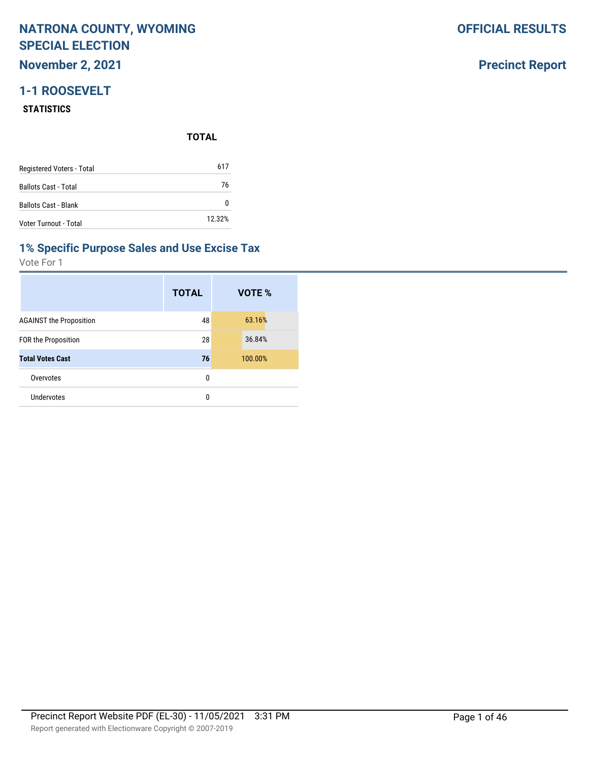**November 2, 2021**

## **1-1 ROOSEVELT**

#### **STATISTICS**

**TOTAL**

| Registered Voters - Total   | 617    |
|-----------------------------|--------|
| <b>Ballots Cast - Total</b> | 76     |
| <b>Ballots Cast - Blank</b> | n      |
| Voter Turnout - Total       | 12.32% |

#### **1% Specific Purpose Sales and Use Excise Tax**

Vote For 1

|                                | <b>TOTAL</b> | VOTE %  |
|--------------------------------|--------------|---------|
| <b>AGAINST the Proposition</b> | 48           | 63.16%  |
| <b>FOR the Proposition</b>     | 28           | 36.84%  |
| <b>Total Votes Cast</b>        | 76           | 100.00% |
| Overvotes                      | 0            |         |
| Undervotes                     | 0            |         |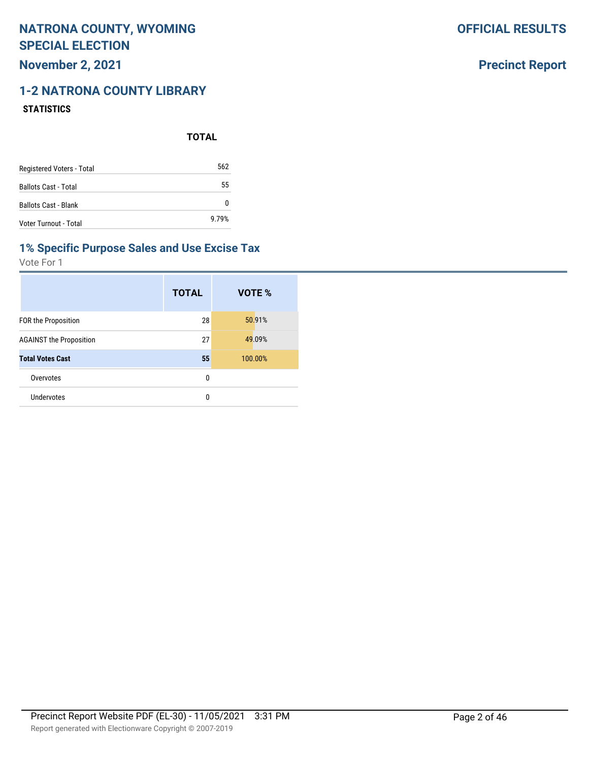## **November 2, 2021**

# **1-2 NATRONA COUNTY LIBRARY**

#### **STATISTICS**

**TOTAL**

| Registered Voters - Total   | 562   |
|-----------------------------|-------|
| <b>Ballots Cast - Total</b> | 55    |
| <b>Ballots Cast - Blank</b> | n     |
| Voter Turnout - Total       | 9.79% |

#### **1% Specific Purpose Sales and Use Excise Tax**

Vote For 1

|                                | <b>TOTAL</b> | VOTE %  |
|--------------------------------|--------------|---------|
| <b>FOR the Proposition</b>     | 28           | 50.91%  |
| <b>AGAINST the Proposition</b> | 27           | 49.09%  |
| <b>Total Votes Cast</b>        | 55           | 100.00% |
| Overvotes                      | 0            |         |
| Undervotes                     | 0            |         |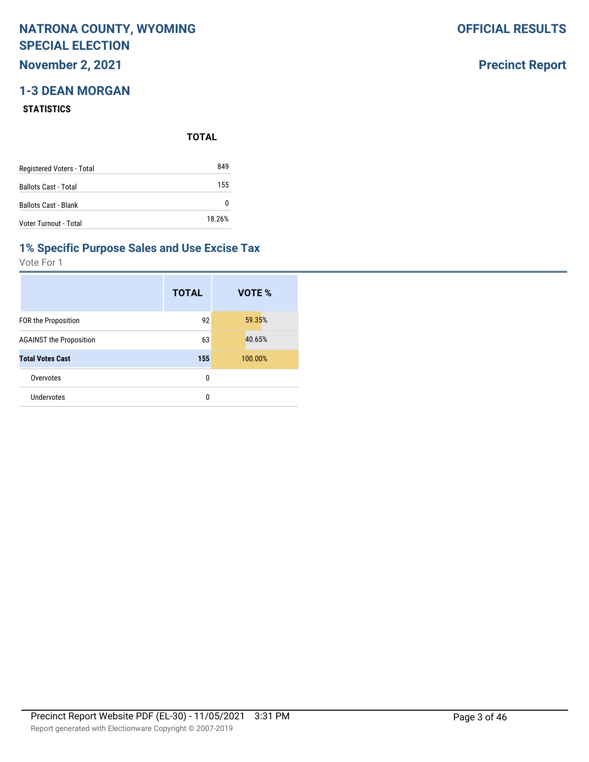## **November 2, 2021**

## **1-3 DEAN MORGAN**

#### **STATISTICS**

**TOTAL**

| Registered Voters - Total   | 849    |
|-----------------------------|--------|
| <b>Ballots Cast - Total</b> | 155    |
| <b>Ballots Cast - Blank</b> | 0      |
| Voter Turnout - Total       | 18.26% |

#### **1% Specific Purpose Sales and Use Excise Tax**

Vote For 1

|                                | <b>TOTAL</b> | VOTE %  |
|--------------------------------|--------------|---------|
| <b>FOR the Proposition</b>     | 92           | 59.35%  |
| <b>AGAINST the Proposition</b> | 63           | 40.65%  |
| <b>Total Votes Cast</b>        | 155          | 100.00% |
| Overvotes                      | 0            |         |
| Undervotes                     | 0            |         |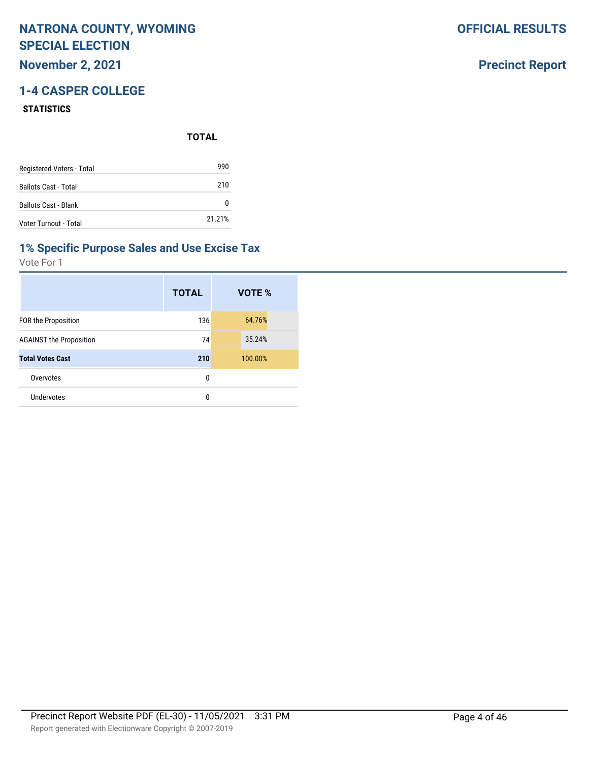## **November 2, 2021**

## **1-4 CASPER COLLEGE**

#### **STATISTICS**

**TOTAL**

| Registered Voters - Total   | 990    |
|-----------------------------|--------|
| <b>Ballots Cast - Total</b> | 210    |
| <b>Ballots Cast - Blank</b> | n      |
| Voter Turnout - Total       | 21.21% |

### **1% Specific Purpose Sales and Use Excise Tax**

Vote For 1

|                                | <b>TOTAL</b> | VOTE %  |
|--------------------------------|--------------|---------|
| <b>FOR the Proposition</b>     | 136          | 64.76%  |
| <b>AGAINST the Proposition</b> | 74           | 35.24%  |
| <b>Total Votes Cast</b>        | 210          | 100.00% |
| Overvotes                      | 0            |         |
| Undervotes                     | 0            |         |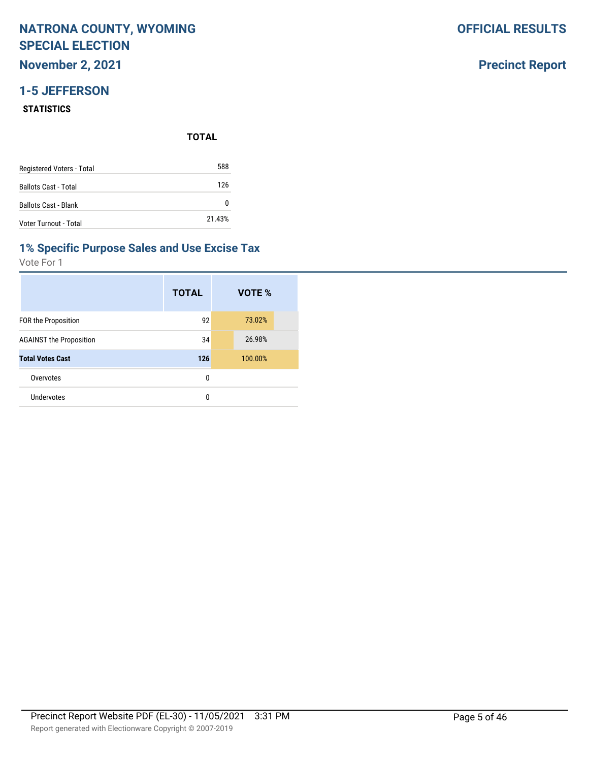**November 2, 2021**

## **1-5 JEFFERSON**

#### **STATISTICS**

**TOTAL**

| Registered Voters - Total   | 588    |
|-----------------------------|--------|
| <b>Ballots Cast - Total</b> | 126    |
| <b>Ballots Cast - Blank</b> | 0      |
| Voter Turnout - Total       | 21.43% |

#### **1% Specific Purpose Sales and Use Excise Tax**

Vote For 1

|                                | <b>TOTAL</b> | VOTE %  |
|--------------------------------|--------------|---------|
| FOR the Proposition            | 92           | 73.02%  |
| <b>AGAINST the Proposition</b> | 34           | 26.98%  |
| <b>Total Votes Cast</b>        | 126          | 100.00% |
| Overvotes                      | 0            |         |
| Undervotes                     | 0            |         |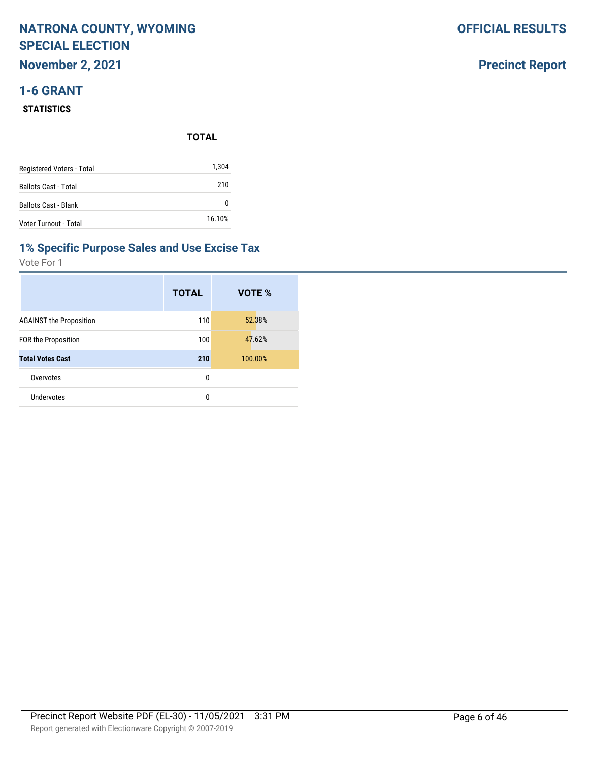## **NATRONA COUNTY, WYOMING SPECIAL ELECTION November 2, 2021**

# **1-6 GRANT**

#### **STATISTICS**

|                             | <b>TOTAL</b> |
|-----------------------------|--------------|
| Registered Voters - Total   | 1,304        |
| <b>Ballots Cast - Total</b> | 210          |
| <b>Ballots Cast - Blank</b> | 0            |
| Voter Turnout - Total       | 16.10%       |

#### **1% Specific Purpose Sales and Use Excise Tax**

Vote For 1

|                                | <b>TOTAL</b> | VOTE %  |
|--------------------------------|--------------|---------|
| <b>AGAINST the Proposition</b> | 110          | 52.38%  |
| FOR the Proposition            | 100          | 47.62%  |
| <b>Total Votes Cast</b>        | 210          | 100.00% |
| Overvotes                      | 0            |         |
| Undervotes                     | 0            |         |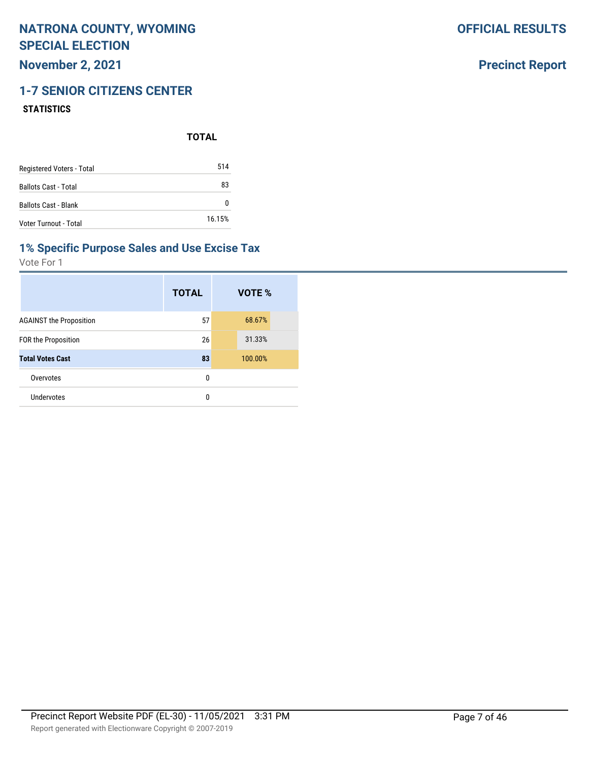**November 2, 2021**

# **1-7 SENIOR CITIZENS CENTER**

#### **STATISTICS**

**TOTAL**

| Registered Voters - Total   | 514    |
|-----------------------------|--------|
| <b>Ballots Cast - Total</b> | 83     |
| <b>Ballots Cast - Blank</b> | 0      |
| Voter Turnout - Total       | 16.15% |

#### **1% Specific Purpose Sales and Use Excise Tax**

Vote For 1

|                                | <b>TOTAL</b> | VOTE %  |
|--------------------------------|--------------|---------|
| <b>AGAINST the Proposition</b> | 57           | 68.67%  |
| <b>FOR the Proposition</b>     | 26           | 31.33%  |
| <b>Total Votes Cast</b>        | 83           | 100.00% |
| Overvotes                      | 0            |         |
| Undervotes                     | 0            |         |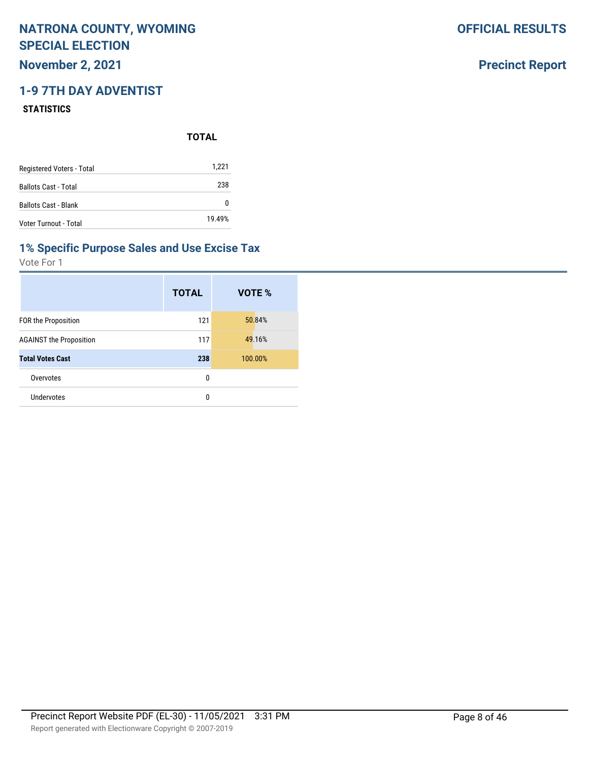## **November 2, 2021**

## **1-9 7TH DAY ADVENTIST**

#### **STATISTICS**

|                             | <b>TOTAL</b> |
|-----------------------------|--------------|
| Registered Voters - Total   | 1,221        |
| <b>Ballots Cast - Total</b> | 238          |
| <b>Ballots Cast - Blank</b> | 0            |
| Voter Turnout - Total       | 19.49%       |

#### **1% Specific Purpose Sales and Use Excise Tax**

Vote For 1

|                                | <b>TOTAL</b> | VOTE %  |
|--------------------------------|--------------|---------|
| <b>FOR the Proposition</b>     | 121          | 50.84%  |
| <b>AGAINST the Proposition</b> | 117          | 49.16%  |
| <b>Total Votes Cast</b>        | 238          | 100.00% |
| Overvotes                      | 0            |         |
| Undervotes                     | 0            |         |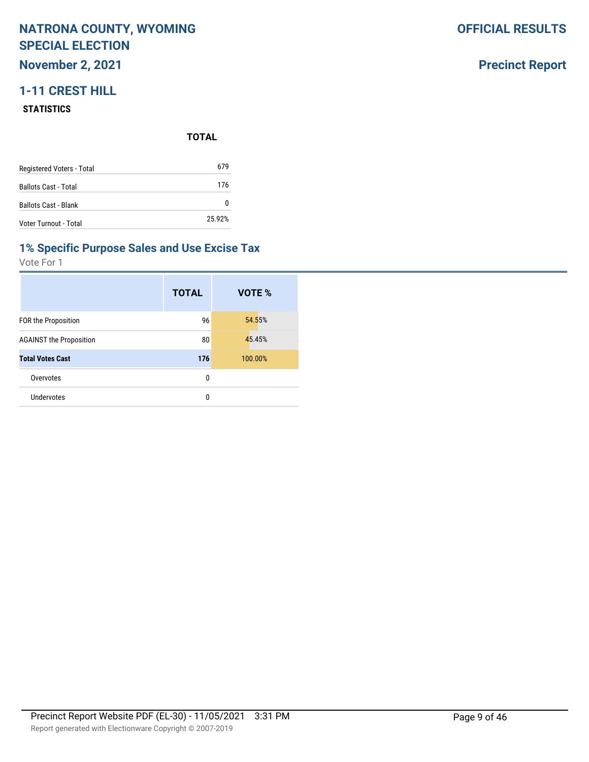**November 2, 2021**

## **1-11 CREST HILL**

#### **STATISTICS**

**TOTAL**

| Registered Voters - Total   | 679      |
|-----------------------------|----------|
| <b>Ballots Cast - Total</b> | 176      |
| <b>Ballots Cast - Blank</b> | $^{(1)}$ |
| Voter Turnout - Total       | 25.92%   |

#### **1% Specific Purpose Sales and Use Excise Tax**

Vote For 1

|                                | <b>TOTAL</b> | VOTE %  |
|--------------------------------|--------------|---------|
| FOR the Proposition            | 96           | 54.55%  |
| <b>AGAINST the Proposition</b> | 80           | 45.45%  |
| <b>Total Votes Cast</b>        | 176          | 100.00% |
| Overvotes                      | 0            |         |
| <b>Undervotes</b>              | 0            |         |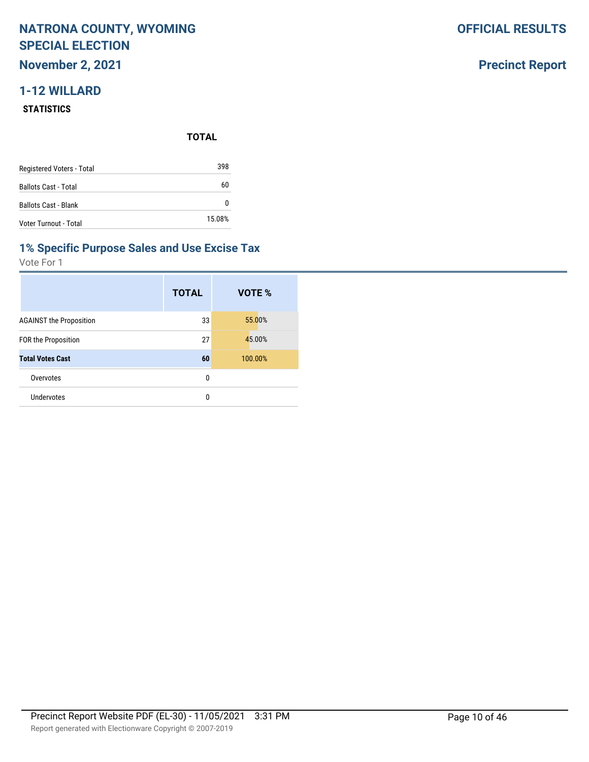**November 2, 2021**

## **1-12 WILLARD**

#### **STATISTICS**

**TOTAL**

| Registered Voters - Total   | 398    |
|-----------------------------|--------|
| <b>Ballots Cast - Total</b> | 60     |
| <b>Ballots Cast - Blank</b> |        |
| Voter Turnout - Total       | 15.08% |

#### **1% Specific Purpose Sales and Use Excise Tax**

Vote For 1

|                                | <b>TOTAL</b> | VOTE %  |
|--------------------------------|--------------|---------|
| <b>AGAINST the Proposition</b> | 33           | 55.00%  |
| FOR the Proposition            | 27           | 45.00%  |
| <b>Total Votes Cast</b>        | 60           | 100.00% |
| Overvotes                      | 0            |         |
| Undervotes                     | 0            |         |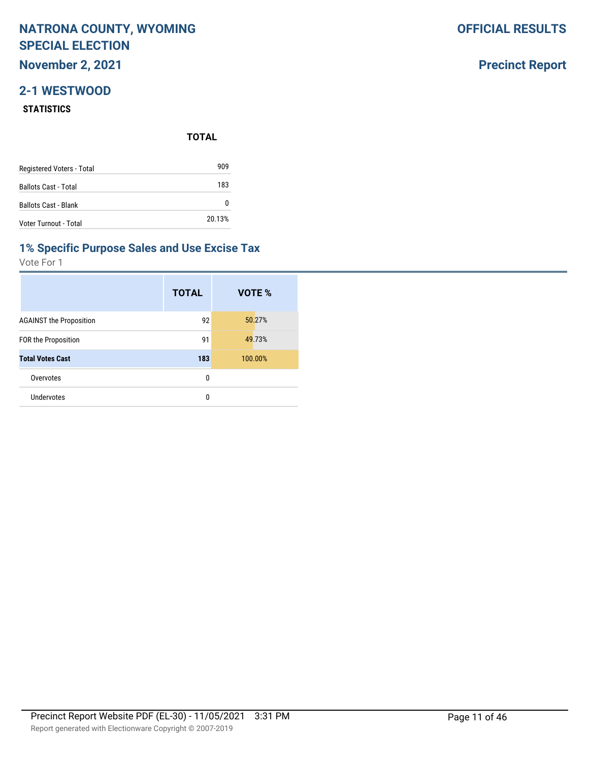**November 2, 2021**

## **2-1 WESTWOOD**

#### **STATISTICS**

**TOTAL**

| Registered Voters - Total   | 909    |
|-----------------------------|--------|
| <b>Ballots Cast - Total</b> | 183    |
| <b>Ballots Cast - Blank</b> | O      |
| Voter Turnout - Total       | 20.13% |

#### **1% Specific Purpose Sales and Use Excise Tax**

Vote For 1

|                                | <b>TOTAL</b> | VOTE %  |
|--------------------------------|--------------|---------|
| <b>AGAINST the Proposition</b> | 92           | 50.27%  |
| <b>FOR the Proposition</b>     | 91           | 49.73%  |
| <b>Total Votes Cast</b>        | 183          | 100.00% |
| Overvotes                      | 0            |         |
| Undervotes                     | 0            |         |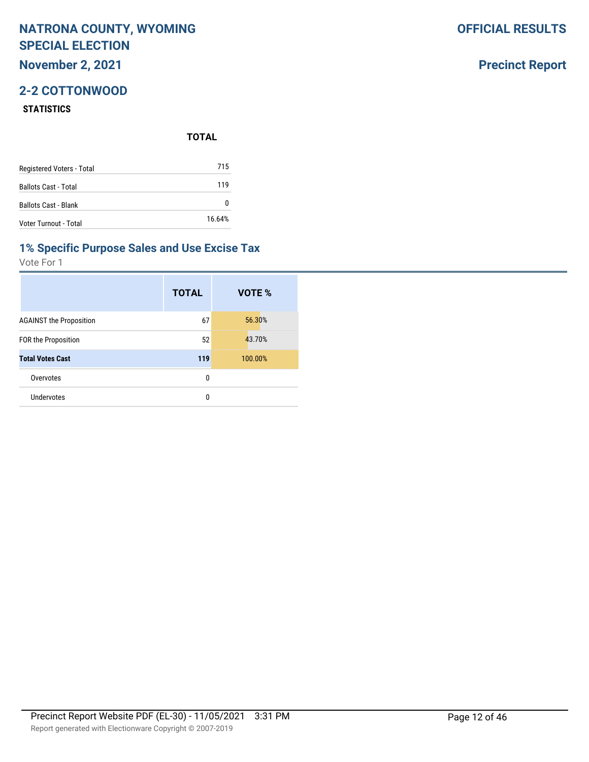### **November 2, 2021**

## **2-2 COTTONWOOD**

#### **STATISTICS**

**TOTAL**

| Registered Voters - Total   | 715    |
|-----------------------------|--------|
| <b>Ballots Cast - Total</b> | 119    |
| <b>Ballots Cast - Blank</b> | 0      |
| Voter Turnout - Total       | 16.64% |

### **1% Specific Purpose Sales and Use Excise Tax**

Vote For 1

|                                | <b>TOTAL</b> | VOTE %  |
|--------------------------------|--------------|---------|
| <b>AGAINST the Proposition</b> | 67           | 56.30%  |
| <b>FOR the Proposition</b>     | 52           | 43.70%  |
| <b>Total Votes Cast</b>        | 119          | 100.00% |
| Overvotes                      | 0            |         |
| Undervotes                     | 0            |         |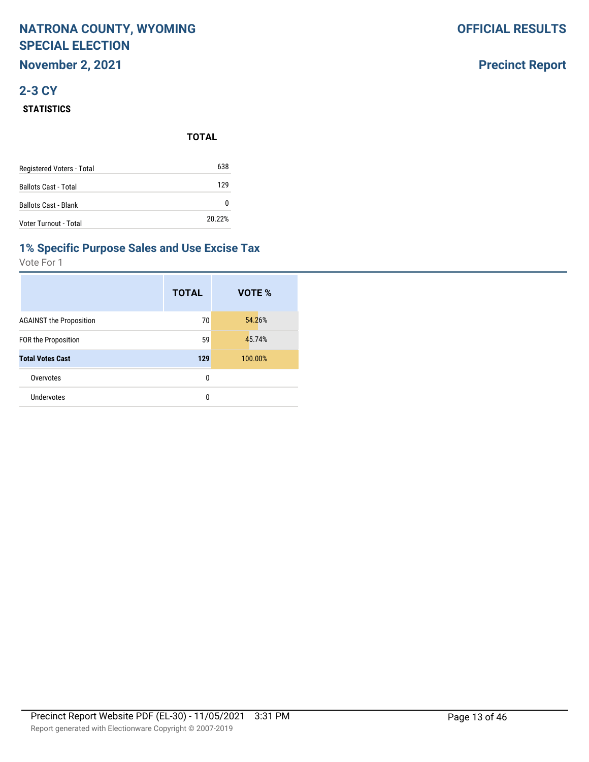## **NATRONA COUNTY, WYOMING SPECIAL ELECTION November 2, 2021**

# **2-3 CY**

#### **STATISTICS**

|                           | <b>TOTAL</b> |
|---------------------------|--------------|
| Registered Voters - Total | 638          |
| Ballots Cast - Total      | 129          |
| Ballots Cast - Blank      | 0            |
| Voter Turnout - Total     | 20.22%       |

#### **1% Specific Purpose Sales and Use Excise Tax**

Vote For 1

|                                | <b>TOTAL</b> | VOTE %  |
|--------------------------------|--------------|---------|
| <b>AGAINST the Proposition</b> | 70           | 54.26%  |
| <b>FOR the Proposition</b>     | 59           | 45.74%  |
| <b>Total Votes Cast</b>        | 129          | 100.00% |
| Overvotes                      | 0            |         |
| Undervotes                     | 0            |         |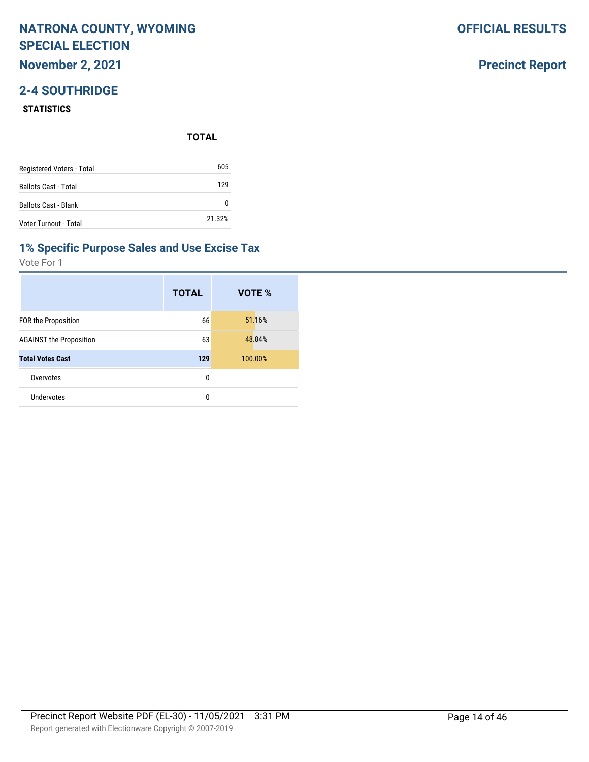### **November 2, 2021**

## **2-4 SOUTHRIDGE**

#### **STATISTICS**

**TOTAL**

| Registered Voters - Total   | 605    |
|-----------------------------|--------|
| <b>Ballots Cast - Total</b> | 129    |
| <b>Ballots Cast - Blank</b> | 0      |
| Voter Turnout - Total       | 21.32% |

#### **1% Specific Purpose Sales and Use Excise Tax**

Vote For 1

|                                | <b>TOTAL</b> | VOTE %  |
|--------------------------------|--------------|---------|
| <b>FOR the Proposition</b>     | 66           | 51.16%  |
| <b>AGAINST the Proposition</b> | 63           | 48.84%  |
| <b>Total Votes Cast</b>        | 129          | 100.00% |
| Overvotes                      | 0            |         |
| Undervotes                     | 0            |         |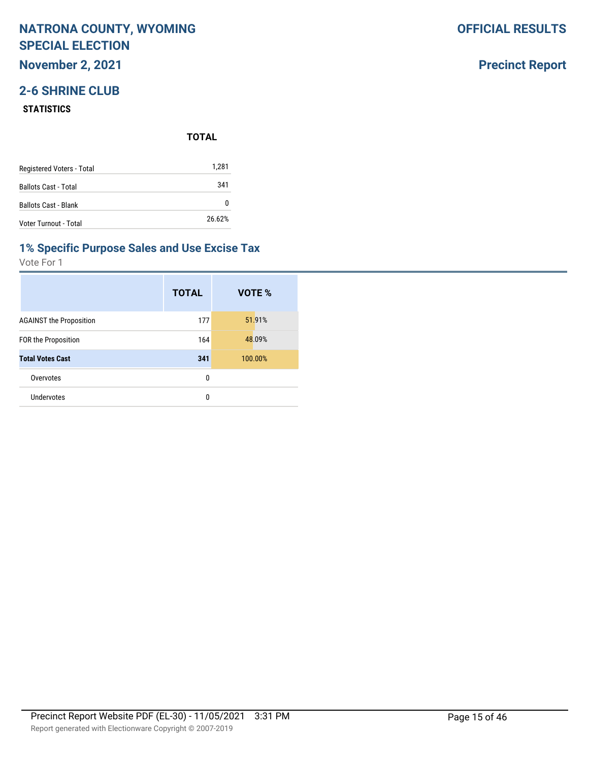**November 2, 2021**

## **2-6 SHRINE CLUB**

#### **STATISTICS**

**TOTAL**

| Registered Voters - Total   | 1,281  |
|-----------------------------|--------|
| <b>Ballots Cast - Total</b> | 341    |
| <b>Ballots Cast - Blank</b> | 0      |
| Voter Turnout - Total       | 26.62% |

## **1% Specific Purpose Sales and Use Excise Tax**

Vote For 1

|                                | <b>TOTAL</b> | VOTE %  |
|--------------------------------|--------------|---------|
| <b>AGAINST the Proposition</b> | 177          | 51.91%  |
| <b>FOR the Proposition</b>     | 164          | 48.09%  |
| <b>Total Votes Cast</b>        | 341          | 100.00% |
| Overvotes                      | 0            |         |
| <b>Undervotes</b>              | 0            |         |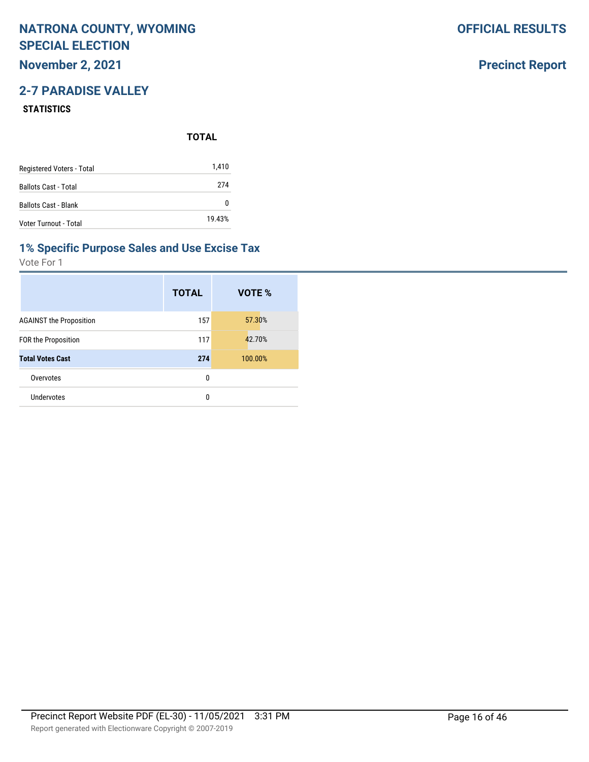## **November 2, 2021**

## **2-7 PARADISE VALLEY**

#### **STATISTICS**

**TOTAL**

| Registered Voters - Total   | 1,410    |
|-----------------------------|----------|
| <b>Ballots Cast - Total</b> | 274      |
| <b>Ballots Cast - Blank</b> | $^{(1)}$ |
| Voter Turnout - Total       | 19.43%   |

### **1% Specific Purpose Sales and Use Excise Tax**

Vote For 1

|                                | <b>TOTAL</b> | VOTE %  |
|--------------------------------|--------------|---------|
| <b>AGAINST the Proposition</b> | 157          | 57.30%  |
| <b>FOR the Proposition</b>     | 117          | 42.70%  |
| <b>Total Votes Cast</b>        | 274          | 100.00% |
| Overvotes                      | 0            |         |
| Undervotes                     | 0            |         |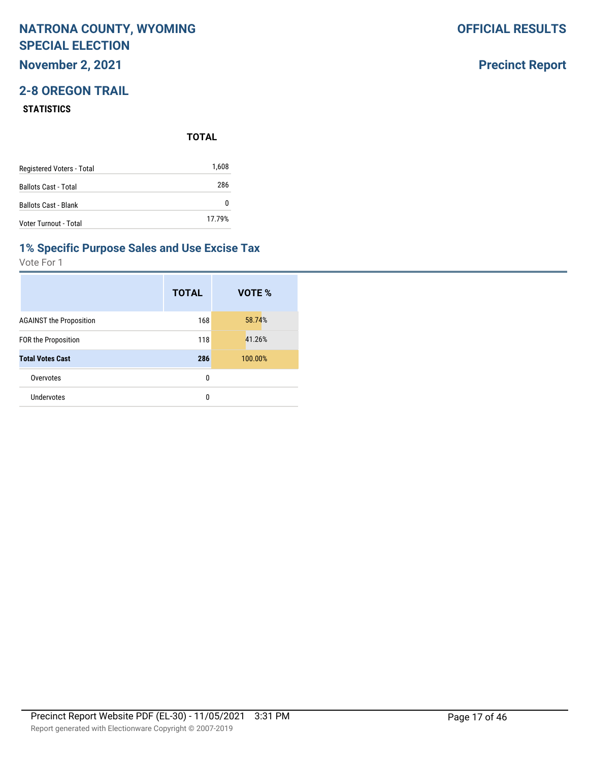**November 2, 2021**

## **2-8 OREGON TRAIL**

#### **STATISTICS**

**TOTAL**

| Registered Voters - Total   | 1,608  |
|-----------------------------|--------|
| <b>Ballots Cast - Total</b> | 286    |
| <b>Ballots Cast - Blank</b> | 0      |
| Voter Turnout - Total       | 17.79% |

### **1% Specific Purpose Sales and Use Excise Tax**

Vote For 1

|                                | <b>TOTAL</b> | VOTE %  |
|--------------------------------|--------------|---------|
| <b>AGAINST the Proposition</b> | 168          | 58.74%  |
| <b>FOR the Proposition</b>     | 118          | 41.26%  |
| <b>Total Votes Cast</b>        | 286          | 100.00% |
| Overvotes                      | 0            |         |
| Undervotes                     | 0            |         |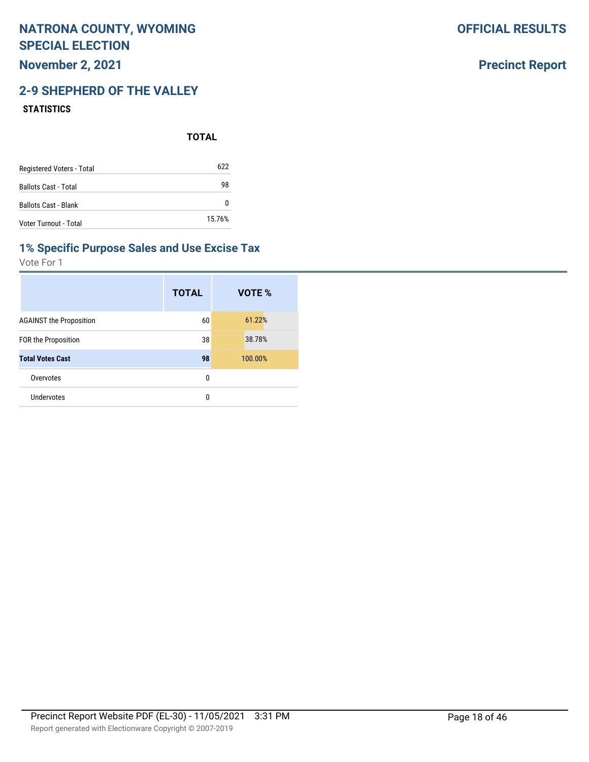**November 2, 2021**

## **2-9 SHEPHERD OF THE VALLEY**

#### **STATISTICS**

**TOTAL**

| Registered Voters - Total   | 622    |
|-----------------------------|--------|
| <b>Ballots Cast - Total</b> | 98     |
| <b>Ballots Cast - Blank</b> |        |
| Voter Turnout - Total       | 15.76% |

### **1% Specific Purpose Sales and Use Excise Tax**

Vote For 1

|                                | <b>TOTAL</b> | VOTE %  |
|--------------------------------|--------------|---------|
| <b>AGAINST the Proposition</b> | 60           | 61.22%  |
| <b>FOR the Proposition</b>     | 38           | 38.78%  |
| <b>Total Votes Cast</b>        | 98           | 100.00% |
| Overvotes                      | 0            |         |
| Undervotes                     | 0            |         |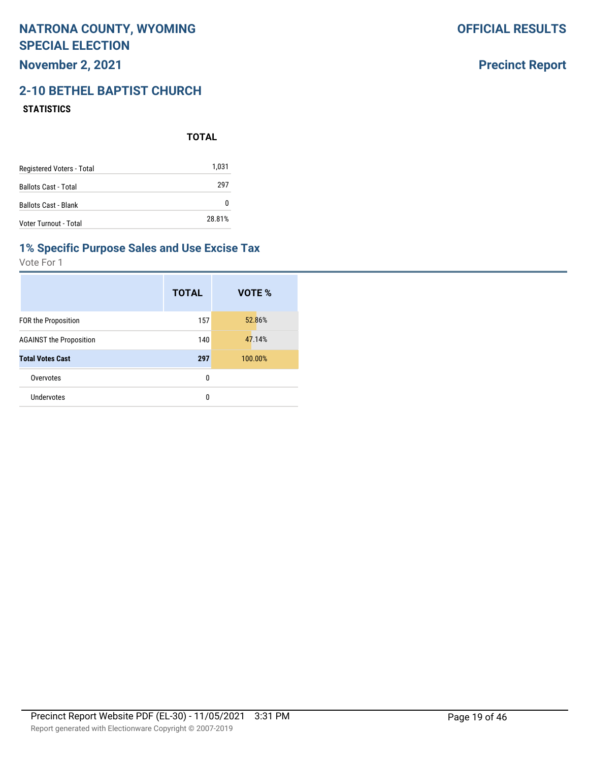## **November 2, 2021**

# **2-10 BETHEL BAPTIST CHURCH**

#### **STATISTICS**

**TOTAL**

| Registered Voters - Total   | 1,031  |
|-----------------------------|--------|
| <b>Ballots Cast - Total</b> | 297    |
| <b>Ballots Cast - Blank</b> |        |
| Voter Turnout - Total       | 28.81% |

### **1% Specific Purpose Sales and Use Excise Tax**

Vote For 1

|                                | <b>TOTAL</b> | VOTE %  |
|--------------------------------|--------------|---------|
| <b>FOR the Proposition</b>     | 157          | 52.86%  |
| <b>AGAINST the Proposition</b> | 140          | 47.14%  |
| <b>Total Votes Cast</b>        | 297          | 100.00% |
| Overvotes                      | 0            |         |
| Undervotes                     | 0            |         |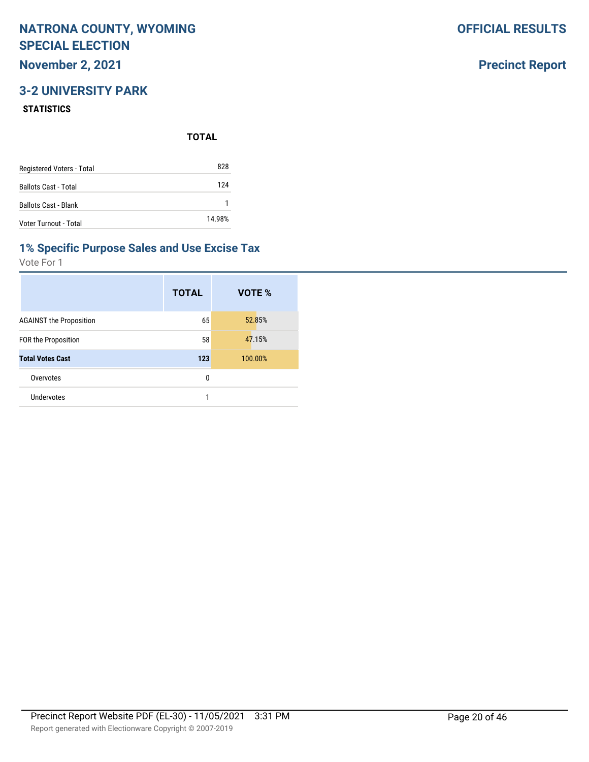## **November 2, 2021**

## **3-2 UNIVERSITY PARK**

#### **STATISTICS**

**TOTAL**

| Registered Voters - Total   | 828    |
|-----------------------------|--------|
| <b>Ballots Cast - Total</b> | 124    |
| <b>Ballots Cast - Blank</b> |        |
| Voter Turnout - Total       | 14.98% |

#### **1% Specific Purpose Sales and Use Excise Tax**

Vote For 1

|                                | <b>TOTAL</b> | VOTE %  |
|--------------------------------|--------------|---------|
| <b>AGAINST the Proposition</b> | 65           | 52.85%  |
| FOR the Proposition            | 58           | 47.15%  |
| <b>Total Votes Cast</b>        | 123          | 100.00% |
| Overvotes                      | 0            |         |
| Undervotes                     | 1            |         |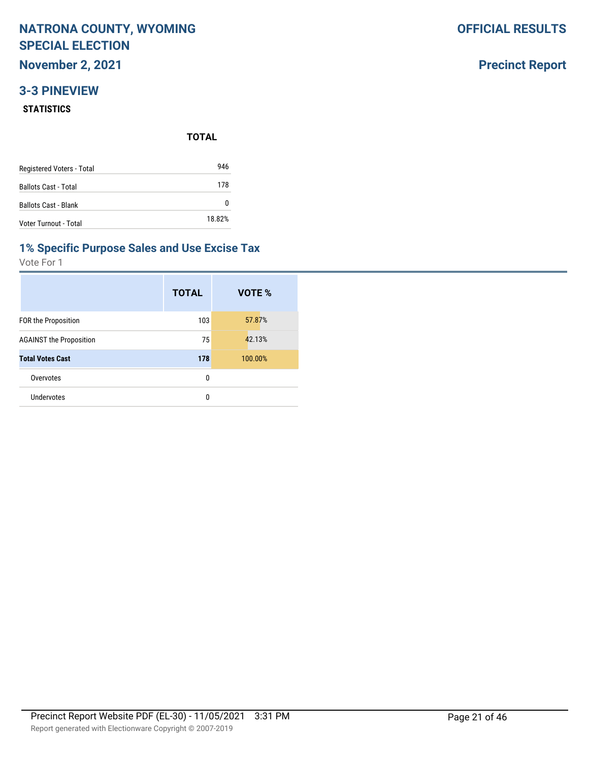**November 2, 2021**

### **3-3 PINEVIEW**

#### **STATISTICS**

**TOTAL**

| Registered Voters - Total   | 946    |
|-----------------------------|--------|
| <b>Ballots Cast - Total</b> | 178    |
| <b>Ballots Cast - Blank</b> | O      |
| Voter Turnout - Total       | 18.82% |

#### **1% Specific Purpose Sales and Use Excise Tax**

Vote For 1

|                                | <b>TOTAL</b> | VOTE %  |
|--------------------------------|--------------|---------|
| <b>FOR the Proposition</b>     | 103          | 57.87%  |
| <b>AGAINST the Proposition</b> | 75           | 42.13%  |
| <b>Total Votes Cast</b>        | 178          | 100.00% |
| Overvotes                      | 0            |         |
| Undervotes                     | 0            |         |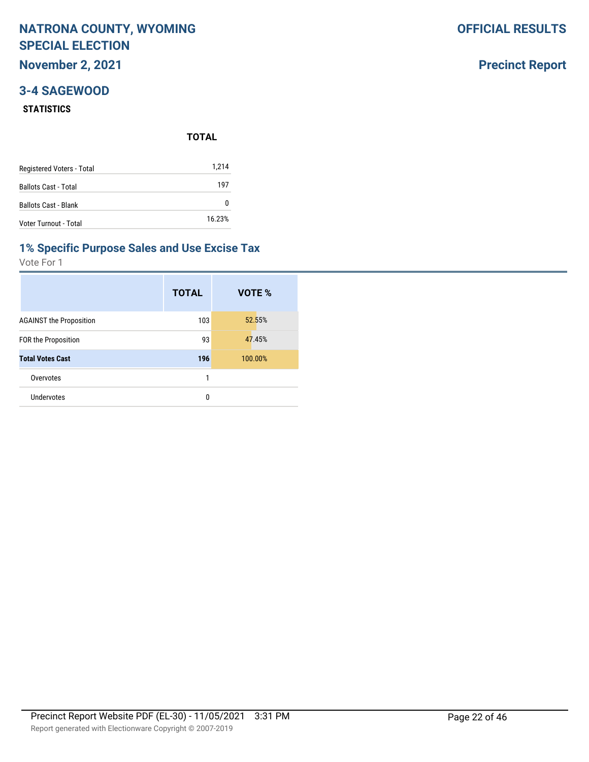**November 2, 2021**

### **3-4 SAGEWOOD**

#### **STATISTICS**

|                             | <b>TOTAL</b> |  |
|-----------------------------|--------------|--|
| Registered Voters - Total   | 1,214        |  |
| <b>Ballots Cast - Total</b> | 197          |  |
| <b>Ballots Cast - Blank</b> | 0            |  |
| Voter Turnout - Total       | 16.23%       |  |

#### **1% Specific Purpose Sales and Use Excise Tax**

Vote For 1

|                                | <b>TOTAL</b> | VOTE %  |
|--------------------------------|--------------|---------|
| <b>AGAINST the Proposition</b> | 103          | 52.55%  |
| <b>FOR the Proposition</b>     | 93           | 47.45%  |
| <b>Total Votes Cast</b>        | 196          | 100.00% |
| Overvotes                      | 1            |         |
| Undervotes                     | 0            |         |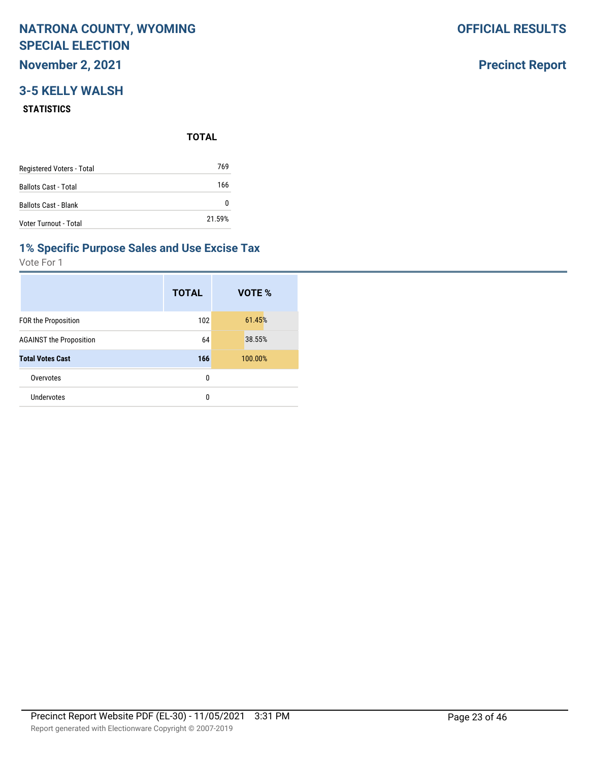**November 2, 2021**

## **3-5 KELLY WALSH**

#### **STATISTICS**

**TOTAL**

| Registered Voters - Total   | 769    |
|-----------------------------|--------|
| <b>Ballots Cast - Total</b> | 166    |
| <b>Ballots Cast - Blank</b> | 0      |
| Voter Turnout - Total       | 21.59% |

### **1% Specific Purpose Sales and Use Excise Tax**

Vote For 1

|                                | <b>TOTAL</b> | VOTE %  |
|--------------------------------|--------------|---------|
| <b>FOR the Proposition</b>     | 102          | 61.45%  |
| <b>AGAINST the Proposition</b> | 64           | 38.55%  |
| <b>Total Votes Cast</b>        | 166          | 100.00% |
| Overvotes                      | 0            |         |
| Undervotes                     | 0            |         |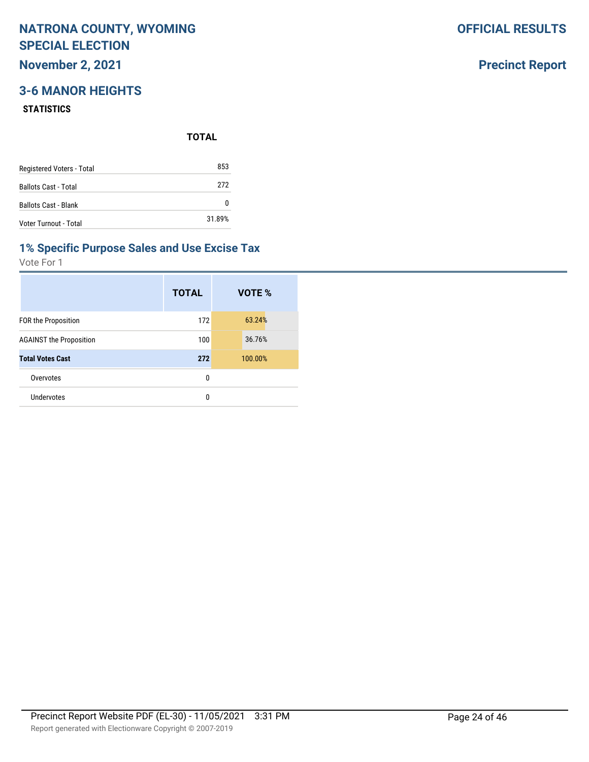## **November 2, 2021**

## **3-6 MANOR HEIGHTS**

#### **STATISTICS**

**TOTAL**

| Registered Voters - Total   | 853    |
|-----------------------------|--------|
| <b>Ballots Cast - Total</b> | 272    |
| <b>Ballots Cast - Blank</b> | 0      |
| Voter Turnout - Total       | 31.89% |

#### **1% Specific Purpose Sales and Use Excise Tax**

Vote For 1

|                                | <b>TOTAL</b> | VOTE %  |
|--------------------------------|--------------|---------|
| <b>FOR the Proposition</b>     | 172          | 63.24%  |
| <b>AGAINST the Proposition</b> | 100          | 36.76%  |
| <b>Total Votes Cast</b>        | 272          | 100.00% |
| Overvotes                      | 0            |         |
| Undervotes                     | 0            |         |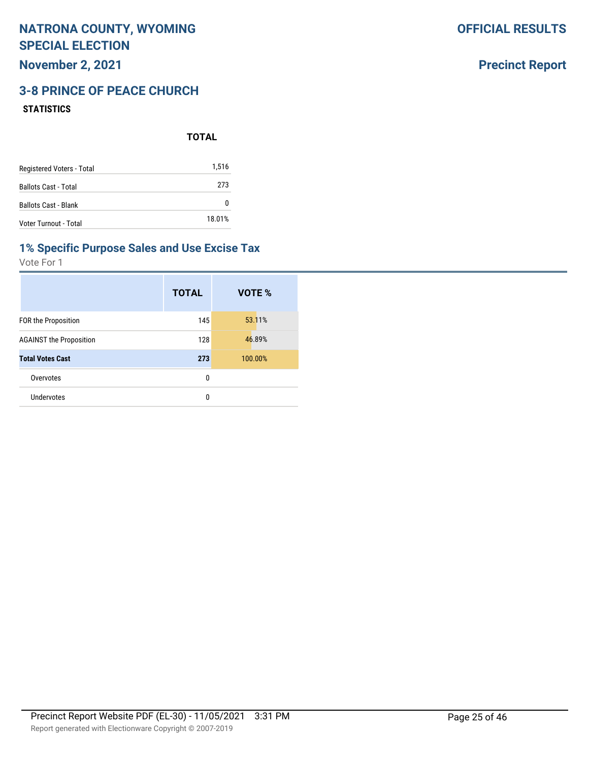**November 2, 2021**

## **3-8 PRINCE OF PEACE CHURCH**

#### **STATISTICS**

|                             | <b>TOTAL</b> |  |
|-----------------------------|--------------|--|
| Registered Voters - Total   | 1,516        |  |
| <b>Ballots Cast - Total</b> | 273          |  |
| <b>Ballots Cast - Blank</b> | 0            |  |
| Voter Turnout - Total       | 18.01%       |  |

#### **1% Specific Purpose Sales and Use Excise Tax**

Vote For 1

|                                | <b>TOTAL</b> | VOTE %  |
|--------------------------------|--------------|---------|
| FOR the Proposition            | 145          | 53.11%  |
| <b>AGAINST the Proposition</b> | 128          | 46.89%  |
| <b>Total Votes Cast</b>        | 273          | 100.00% |
| Overvotes                      | 0            |         |
| <b>Undervotes</b>              | 0            |         |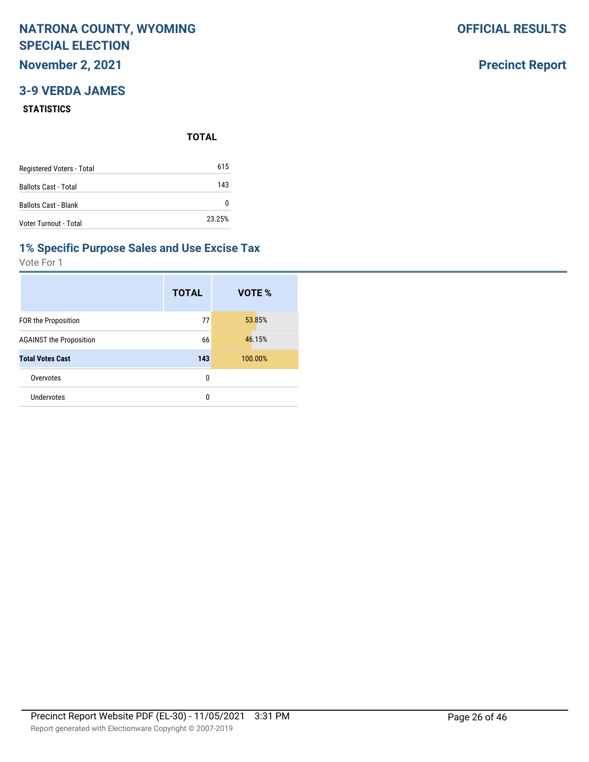**November 2, 2021**

## **3-9 VERDA JAMES**

#### **STATISTICS**

**TOTAL**

| Registered Voters - Total   | 615    |
|-----------------------------|--------|
| <b>Ballots Cast - Total</b> | 143    |
| <b>Ballots Cast - Blank</b> | n      |
| Voter Turnout - Total       | 23.25% |

#### **1% Specific Purpose Sales and Use Excise Tax**

Vote For 1

|                                | <b>TOTAL</b> | VOTE %  |
|--------------------------------|--------------|---------|
| <b>FOR the Proposition</b>     | 77           | 53.85%  |
| <b>AGAINST the Proposition</b> | 66           | 46.15%  |
| <b>Total Votes Cast</b>        | 143          | 100.00% |
| Overvotes                      | 0            |         |
| Undervotes                     | 0            |         |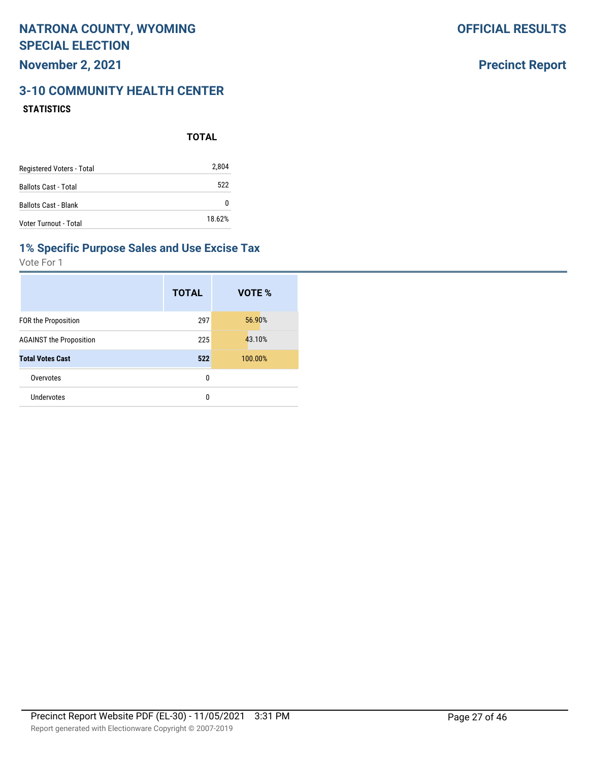## **Precinct Report**

### **3-10 COMMUNITY HEALTH CENTER STATISTICS**

|                             | <b>TOTAL</b> |
|-----------------------------|--------------|
| Registered Voters - Total   | 2,804        |
| <b>Ballots Cast - Total</b> | 522          |
| <b>Ballots Cast - Blank</b> | 0            |
| Voter Turnout - Total       | 18.62%       |

#### **1% Specific Purpose Sales and Use Excise Tax**

|                                | <b>TOTAL</b> | VOTE %  |
|--------------------------------|--------------|---------|
| <b>FOR the Proposition</b>     | 297          | 56.90%  |
| <b>AGAINST the Proposition</b> | 225          | 43.10%  |
| <b>Total Votes Cast</b>        | 522          | 100.00% |
| Overvotes                      | 0            |         |
| Undervotes                     | 0            |         |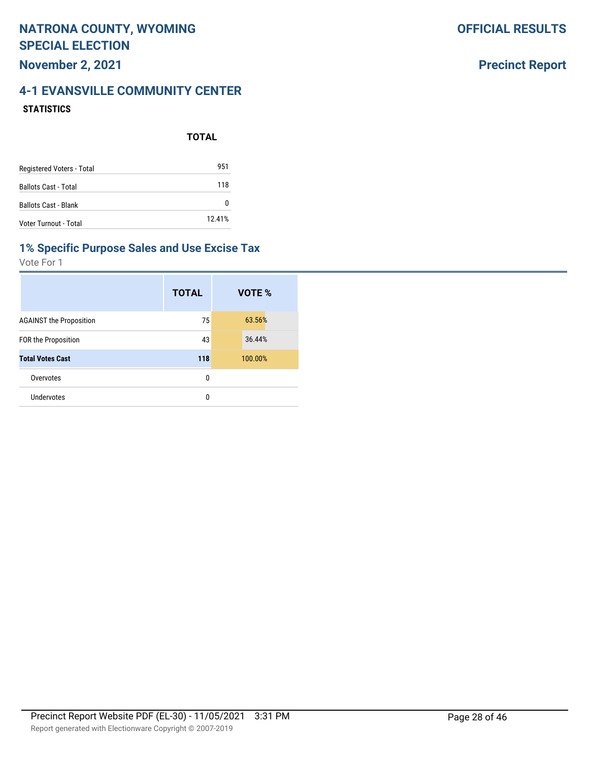### **Precinct Report**

## **4-1 EVANSVILLE COMMUNITY CENTER STATISTICS**

**TOTAL**

|                             | . <del>.</del> . |
|-----------------------------|------------------|
| Registered Voters - Total   | 951              |
| <b>Ballots Cast - Total</b> | 118              |
| <b>Ballots Cast - Blank</b> |                  |
| Voter Turnout - Total       | 12.41%           |

#### **1% Specific Purpose Sales and Use Excise Tax**

|                                | <b>TOTAL</b> | VOTE %  |
|--------------------------------|--------------|---------|
| <b>AGAINST the Proposition</b> | 75           | 63.56%  |
| <b>FOR the Proposition</b>     | 43           | 36.44%  |
| <b>Total Votes Cast</b>        | 118          | 100.00% |
| Overvotes                      | 0            |         |
| Undervotes                     | 0            |         |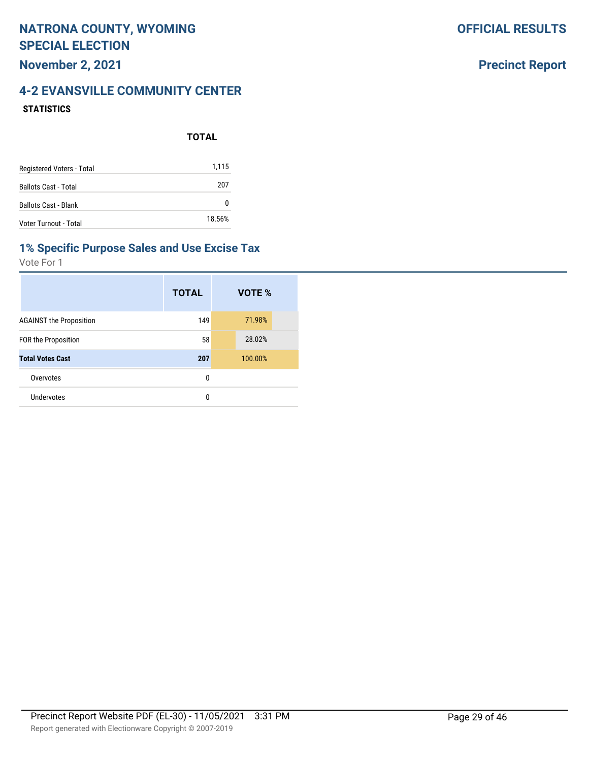### **Precinct Report**

### **4-2 EVANSVILLE COMMUNITY CENTER STATISTICS**

|                             | <b>TOTAL</b> |
|-----------------------------|--------------|
| Registered Voters - Total   | 1,115        |
| <b>Ballots Cast - Total</b> | 207          |
| <b>Ballots Cast - Blank</b> | O            |
| Voter Turnout - Total       | 18.56%       |

#### **1% Specific Purpose Sales and Use Excise Tax**

|                                | <b>TOTAL</b> | VOTE %  |
|--------------------------------|--------------|---------|
| <b>AGAINST the Proposition</b> | 149          | 71.98%  |
| FOR the Proposition            | 58           | 28.02%  |
| <b>Total Votes Cast</b>        | 207          | 100.00% |
| Overvotes                      | 0            |         |
| Undervotes                     | 0            |         |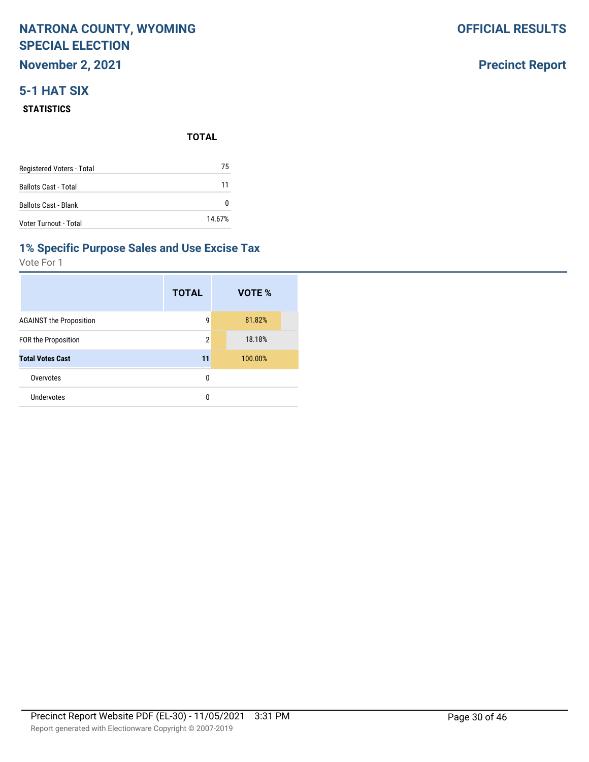**November 2, 2021**

## **5-1 HAT SIX**

#### **STATISTICS**

|                           | <b>TOTAL</b> |  |
|---------------------------|--------------|--|
| Registered Voters - Total | 75           |  |
| Ballots Cast - Total      | 11           |  |
| Ballots Cast - Blank      | 0            |  |
| Voter Turnout - Total     | 14.67%       |  |

## **1% Specific Purpose Sales and Use Excise Tax**

Vote For 1

|                                | <b>TOTAL</b>   | VOTE %  |
|--------------------------------|----------------|---------|
| <b>AGAINST the Proposition</b> | 9              | 81.82%  |
| <b>FOR the Proposition</b>     | $\overline{2}$ | 18.18%  |
| <b>Total Votes Cast</b>        | 11             | 100.00% |
| Overvotes                      | 0              |         |
| Undervotes                     | 0              |         |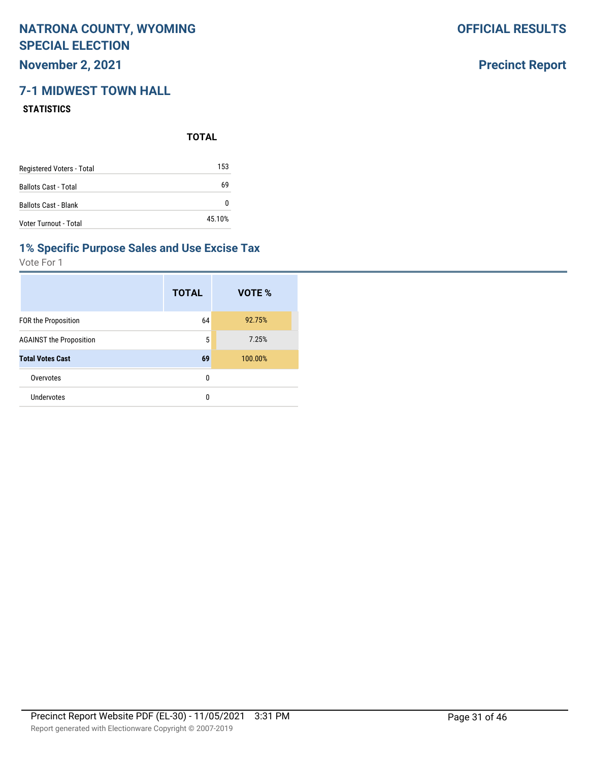**November 2, 2021**

## **7-1 MIDWEST TOWN HALL**

#### **STATISTICS**

**TOTAL**

| Registered Voters - Total   | 153    |
|-----------------------------|--------|
| <b>Ballots Cast - Total</b> | 69     |
| <b>Ballots Cast - Blank</b> |        |
| Voter Turnout - Total       | 45.10% |

#### **1% Specific Purpose Sales and Use Excise Tax**

Vote For 1

|                                | <b>TOTAL</b> | VOTE %  |
|--------------------------------|--------------|---------|
| FOR the Proposition            | 64           | 92.75%  |
| <b>AGAINST the Proposition</b> | 5            | 7.25%   |
| <b>Total Votes Cast</b>        | 69           | 100.00% |
| Overvotes                      | 0            |         |
| Undervotes                     | 0            |         |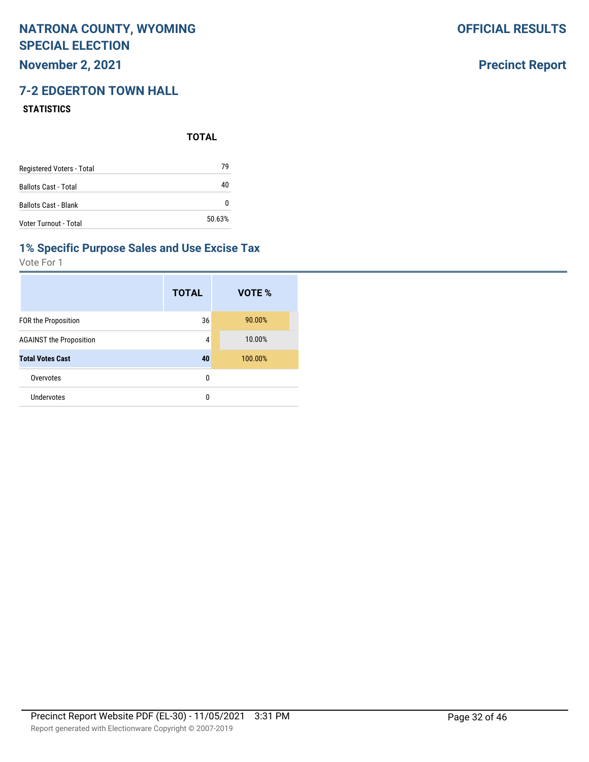**November 2, 2021**

## **7-2 EDGERTON TOWN HALL**

#### **STATISTICS**

**TOTAL**

| Registered Voters - Total   | 79     |
|-----------------------------|--------|
| <b>Ballots Cast - Total</b> | 40     |
| <b>Ballots Cast - Blank</b> |        |
| Voter Turnout - Total       | 50.63% |

#### **1% Specific Purpose Sales and Use Excise Tax**

Vote For 1

|                                | <b>TOTAL</b> | VOTE %  |
|--------------------------------|--------------|---------|
| <b>FOR the Proposition</b>     | 36           | 90.00%  |
| <b>AGAINST the Proposition</b> | 4            | 10.00%  |
| <b>Total Votes Cast</b>        | 40           | 100.00% |
| Overvotes                      | 0            |         |
| Undervotes                     | 0            |         |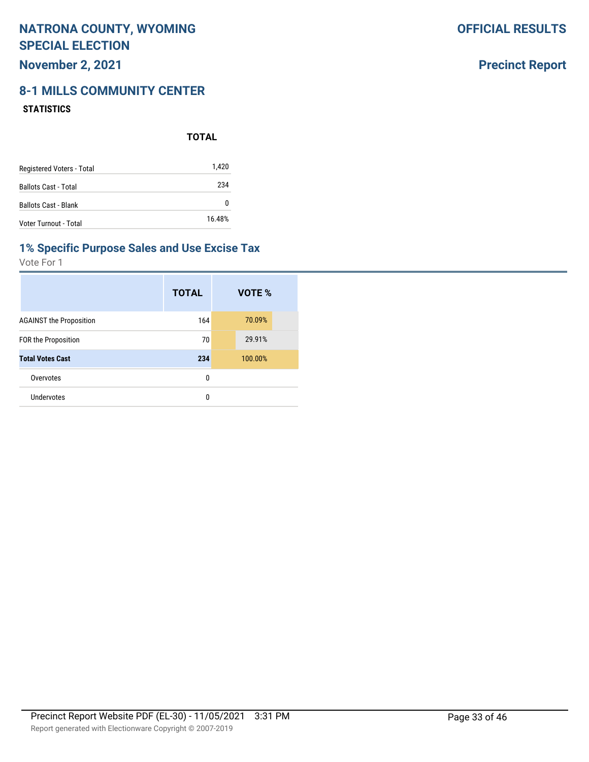## **November 2, 2021**

# **8-1 MILLS COMMUNITY CENTER**

#### **STATISTICS**

|                             | <b>TOTAL</b> |
|-----------------------------|--------------|
| Registered Voters - Total   | 1,420        |
| <b>Ballots Cast - Total</b> | 234          |
| <b>Ballots Cast - Blank</b> | 0            |
| Voter Turnout - Total       | 16.48%       |

### **1% Specific Purpose Sales and Use Excise Tax**

Vote For 1

|                                | <b>TOTAL</b> | VOTE %  |
|--------------------------------|--------------|---------|
| <b>AGAINST the Proposition</b> | 164          | 70.09%  |
| <b>FOR the Proposition</b>     | 70           | 29.91%  |
| <b>Total Votes Cast</b>        | 234          | 100.00% |
| Overvotes                      | 0            |         |
| Undervotes                     | 0            |         |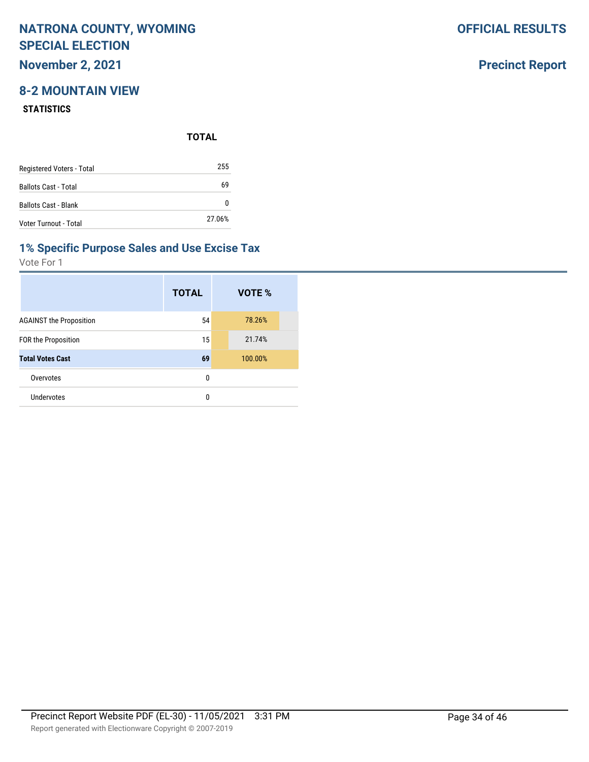## **November 2, 2021**

## **8-2 MOUNTAIN VIEW**

#### **STATISTICS**

**TOTAL**

| Registered Voters - Total   | 255    |
|-----------------------------|--------|
| <b>Ballots Cast - Total</b> | 69     |
| <b>Ballots Cast - Blank</b> | n      |
| Voter Turnout - Total       | 27.06% |

#### **1% Specific Purpose Sales and Use Excise Tax**

Vote For 1

|                                | <b>TOTAL</b> | VOTE %  |
|--------------------------------|--------------|---------|
| <b>AGAINST the Proposition</b> | 54           | 78.26%  |
| <b>FOR the Proposition</b>     | 15           | 21.74%  |
| <b>Total Votes Cast</b>        | 69           | 100.00% |
| Overvotes                      | 0            |         |
| Undervotes                     | 0            |         |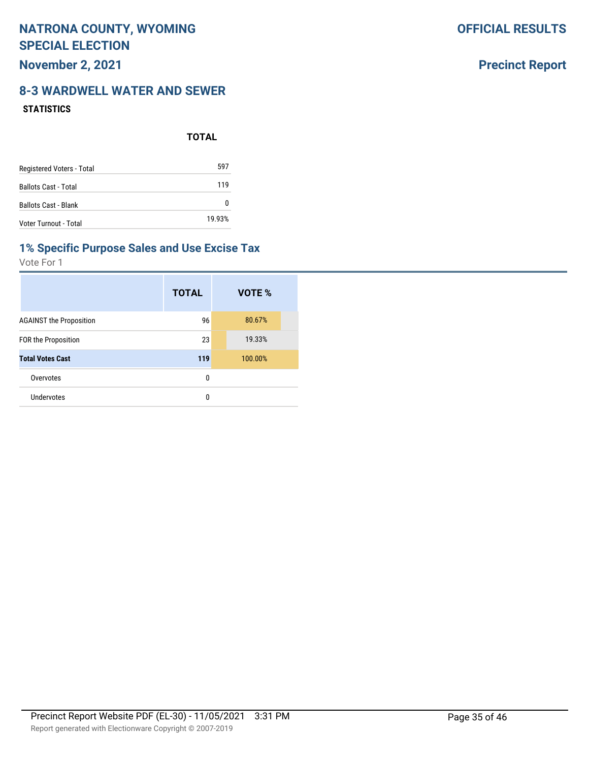**OFFICIAL RESULTS**

### **Precinct Report**

### **8-3 WARDWELL WATER AND SEWER STATISTICS**

|                             | <b>TOTAL</b> |
|-----------------------------|--------------|
| Registered Voters - Total   | 597          |
| <b>Ballots Cast - Total</b> | 119          |
| <b>Ballots Cast - Blank</b> | O            |
| Voter Turnout - Total       | 19.93%       |

#### **1% Specific Purpose Sales and Use Excise Tax**

|                                | <b>TOTAL</b> | VOTE %  |
|--------------------------------|--------------|---------|
| <b>AGAINST the Proposition</b> | 96           | 80.67%  |
| FOR the Proposition            | 23           | 19.33%  |
| <b>Total Votes Cast</b>        | 119          | 100.00% |
| Overvotes                      | 0            |         |
| Undervotes                     | 0            |         |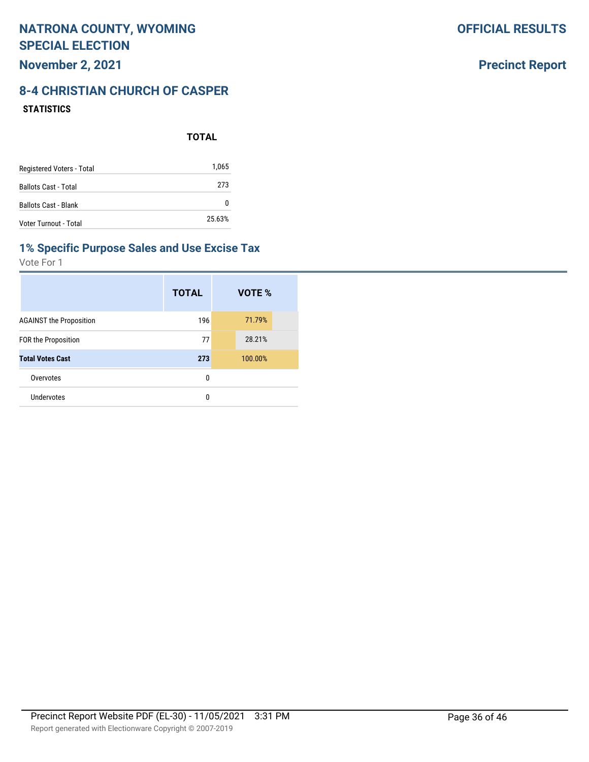## **Precinct Report**

### **8-4 CHRISTIAN CHURCH OF CASPER STATISTICS**

|                             | <b>TOTAL</b> |
|-----------------------------|--------------|
| Registered Voters - Total   | 1,065        |
| <b>Ballots Cast - Total</b> | 273          |
| <b>Ballots Cast - Blank</b> | 0            |
| Voter Turnout - Total       | 25.63%       |

### **1% Specific Purpose Sales and Use Excise Tax**

|                                | <b>TOTAL</b> | VOTE %  |
|--------------------------------|--------------|---------|
| <b>AGAINST the Proposition</b> | 196          | 71.79%  |
| FOR the Proposition            | 77           | 28.21%  |
| <b>Total Votes Cast</b>        | 273          | 100.00% |
| Overvotes                      | 0            |         |
| Undervotes                     | 0            |         |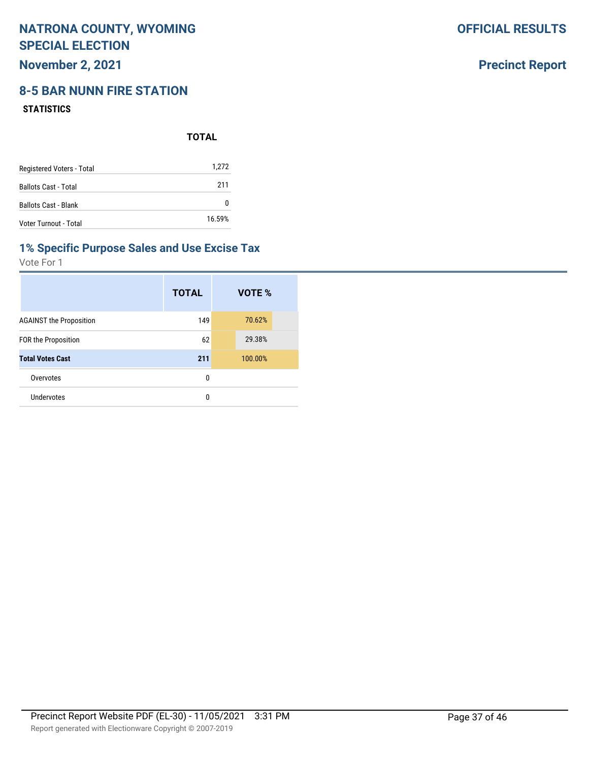**November 2, 2021**

## **8-5 BAR NUNN FIRE STATION**

#### **STATISTICS**

|                           | <b>TOTAL</b> |
|---------------------------|--------------|
| Registered Voters - Total | 1,272        |
| Ballots Cast - Total      | 211          |
| Ballots Cast - Blank      | 0            |
| Voter Turnout - Total     | 16.59%       |

#### **1% Specific Purpose Sales and Use Excise Tax**

Vote For 1

|                                | <b>TOTAL</b> | VOTE %  |
|--------------------------------|--------------|---------|
| <b>AGAINST the Proposition</b> | 149          | 70.62%  |
| <b>FOR the Proposition</b>     | 62           | 29.38%  |
| <b>Total Votes Cast</b>        | 211          | 100.00% |
| Overvotes                      | 0            |         |
| Undervotes                     | 0            |         |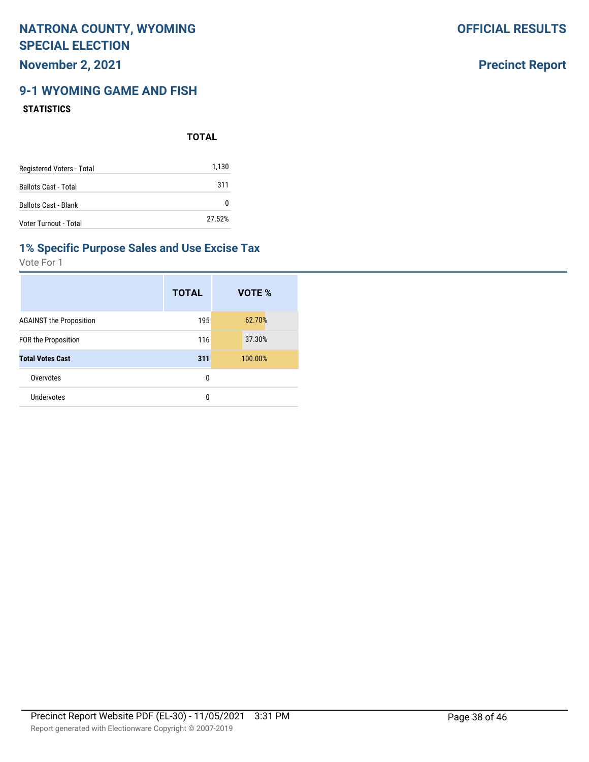## **November 2, 2021**

## **9-1 WYOMING GAME AND FISH**

#### **STATISTICS**

**TOTAL**

| Registered Voters - Total   | 1,130  |
|-----------------------------|--------|
| <b>Ballots Cast - Total</b> | 311    |
| <b>Ballots Cast - Blank</b> |        |
| Voter Turnout - Total       | 27.52% |

#### **1% Specific Purpose Sales and Use Excise Tax**

Vote For 1

|                                | <b>TOTAL</b> | VOTE %  |
|--------------------------------|--------------|---------|
| <b>AGAINST the Proposition</b> | 195          | 62.70%  |
| <b>FOR the Proposition</b>     | 116          | 37.30%  |
| <b>Total Votes Cast</b>        | 311          | 100.00% |
| Overvotes                      | 0            |         |
| Undervotes                     | 0            |         |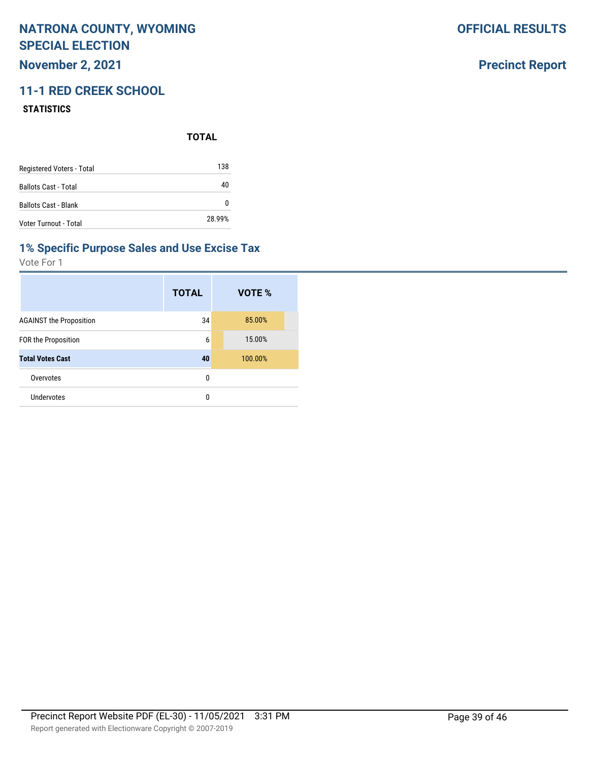## **November 2, 2021**

## **11-1 RED CREEK SCHOOL**

#### **STATISTICS**

**TOTAL**

| Registered Voters - Total   | 138    |
|-----------------------------|--------|
| <b>Ballots Cast - Total</b> | 40     |
| <b>Ballots Cast - Blank</b> | O      |
| Voter Turnout - Total       | 28.99% |

#### **1% Specific Purpose Sales and Use Excise Tax**

Vote For 1

|                                | <b>TOTAL</b> | VOTE %  |
|--------------------------------|--------------|---------|
| <b>AGAINST the Proposition</b> | 34           | 85.00%  |
| FOR the Proposition            | 6            | 15.00%  |
| <b>Total Votes Cast</b>        | 40           | 100.00% |
| Overvotes                      | 0            |         |
| Undervotes                     | 0            |         |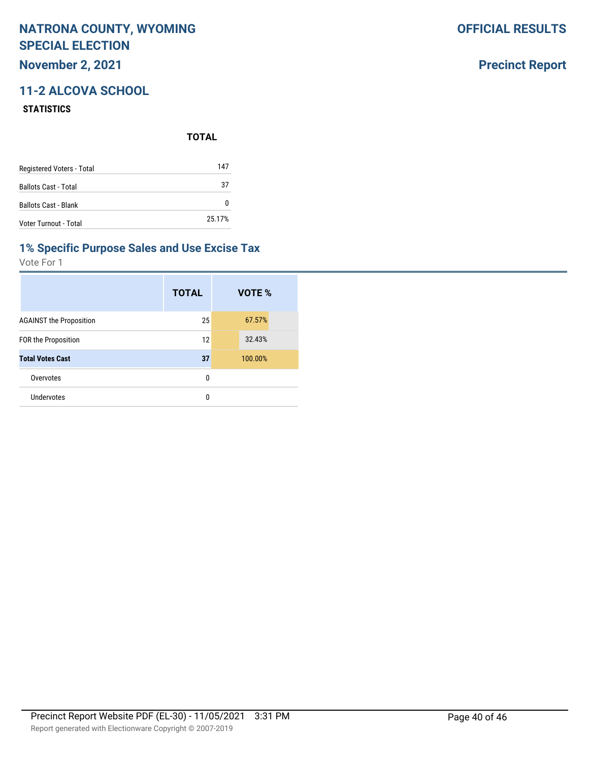## **November 2, 2021**

## **11-2 ALCOVA SCHOOL**

#### **STATISTICS**

**TOTAL**

| Registered Voters - Total   | 147    |
|-----------------------------|--------|
| <b>Ballots Cast - Total</b> | 37     |
| <b>Ballots Cast - Blank</b> | n      |
| Voter Turnout - Total       | 25.17% |

#### **1% Specific Purpose Sales and Use Excise Tax**

Vote For 1

|                                | <b>TOTAL</b> | VOTE %  |
|--------------------------------|--------------|---------|
| <b>AGAINST the Proposition</b> | 25           | 67.57%  |
| FOR the Proposition            | 12           | 32.43%  |
| <b>Total Votes Cast</b>        | 37           | 100.00% |
| Overvotes                      | 0            |         |
| Undervotes                     | 0            |         |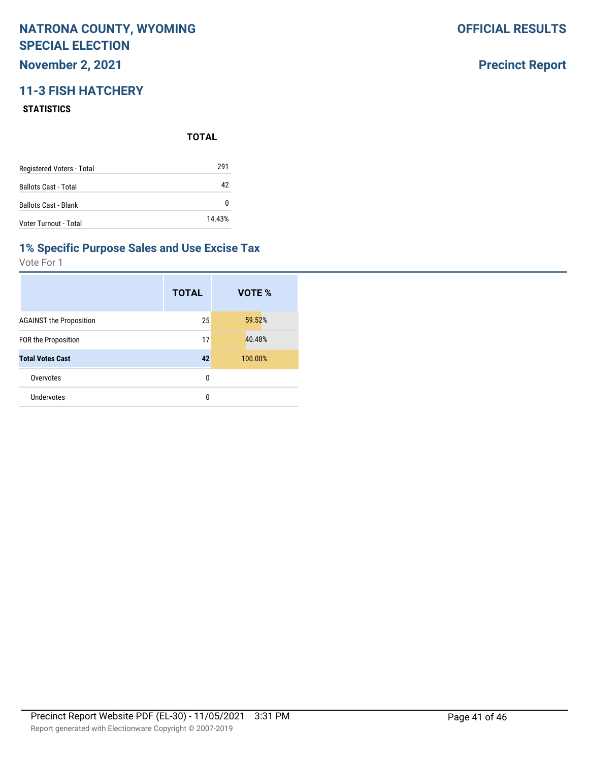## **November 2, 2021**

## **11-3 FISH HATCHERY**

#### **STATISTICS**

**TOTAL**

| Registered Voters - Total   | 291    |
|-----------------------------|--------|
| <b>Ballots Cast - Total</b> | 42     |
| <b>Ballots Cast - Blank</b> | n      |
| Voter Turnout - Total       | 14.43% |

#### **1% Specific Purpose Sales and Use Excise Tax**

Vote For 1

|                                | <b>TOTAL</b> | VOTE %  |
|--------------------------------|--------------|---------|
| <b>AGAINST the Proposition</b> | 25           | 59.52%  |
| FOR the Proposition            | 17           | 40.48%  |
| <b>Total Votes Cast</b>        | 42           | 100.00% |
| Overvotes                      | 0            |         |
| Undervotes                     | 0            |         |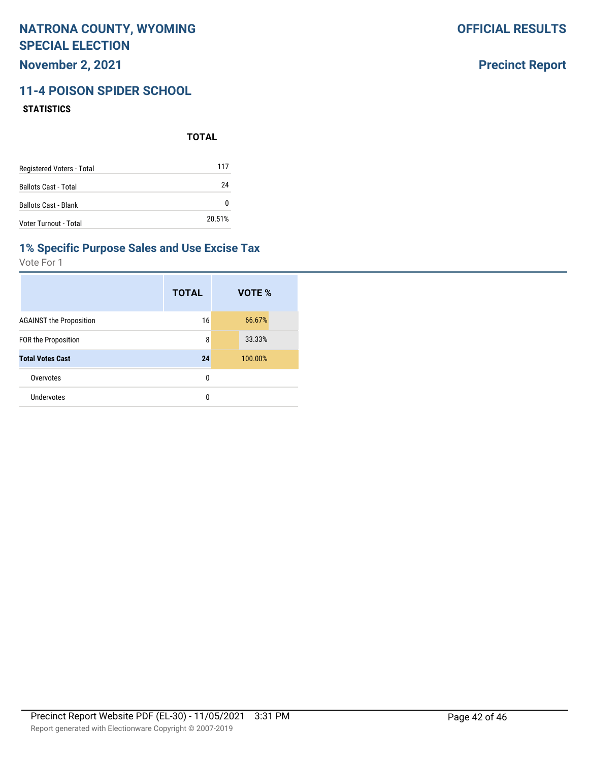**November 2, 2021**

## **11-4 POISON SPIDER SCHOOL**

#### **STATISTICS**

**TOTAL**

| Registered Voters - Total   | 117    |
|-----------------------------|--------|
| <b>Ballots Cast - Total</b> | 24     |
| <b>Ballots Cast - Blank</b> |        |
| Voter Turnout - Total       | 20.51% |

#### **1% Specific Purpose Sales and Use Excise Tax**

Vote For 1

|                                | <b>TOTAL</b> | VOTE %  |
|--------------------------------|--------------|---------|
| <b>AGAINST the Proposition</b> | 16           | 66.67%  |
| <b>FOR the Proposition</b>     | 8            | 33.33%  |
| <b>Total Votes Cast</b>        | 24           | 100.00% |
| Overvotes                      | 0            |         |
| Undervotes                     | 0            |         |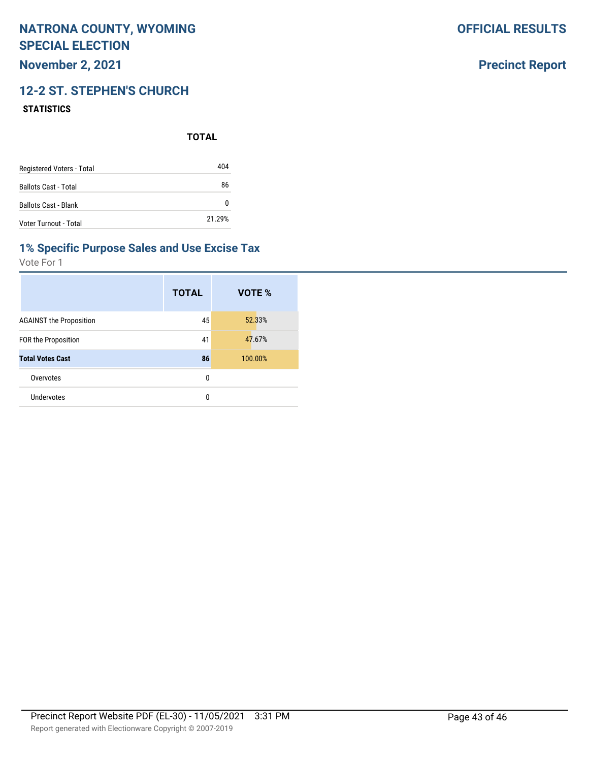**November 2, 2021**

## **12-2 ST. STEPHEN'S CHURCH**

#### **STATISTICS**

**TOTAL**

| Registered Voters - Total   | 404    |
|-----------------------------|--------|
| <b>Ballots Cast - Total</b> | 86     |
| <b>Ballots Cast - Blank</b> |        |
| Voter Turnout - Total       | 21.29% |

#### **1% Specific Purpose Sales and Use Excise Tax**

Vote For 1

|                                | <b>TOTAL</b> | VOTE %  |
|--------------------------------|--------------|---------|
| <b>AGAINST the Proposition</b> | 45           | 52.33%  |
| FOR the Proposition            | 41           | 47.67%  |
| <b>Total Votes Cast</b>        | 86           | 100.00% |
| Overvotes                      | 0            |         |
| <b>Undervotes</b>              | 0            |         |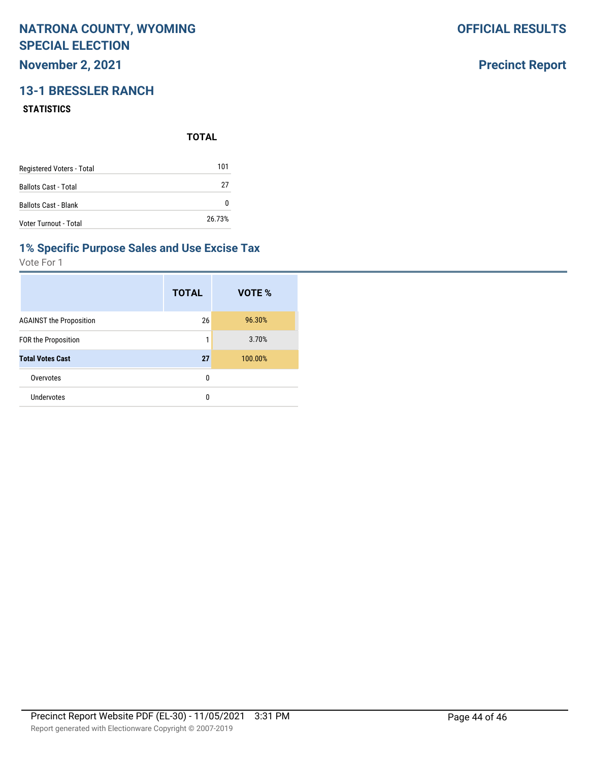## **November 2, 2021**

## **13-1 BRESSLER RANCH**

#### **STATISTICS**

**TOTAL**

| Registered Voters - Total   | 101    |
|-----------------------------|--------|
| <b>Ballots Cast - Total</b> | 27     |
| <b>Ballots Cast - Blank</b> | O      |
| Voter Turnout - Total       | 26.73% |

#### **1% Specific Purpose Sales and Use Excise Tax**

Vote For 1

|                                | <b>TOTAL</b> | VOTE %  |
|--------------------------------|--------------|---------|
| <b>AGAINST the Proposition</b> | 26           | 96.30%  |
| FOR the Proposition            | 1            | 3.70%   |
| <b>Total Votes Cast</b>        | 27           | 100.00% |
| Overvotes                      | 0            |         |
| Undervotes                     | 0            |         |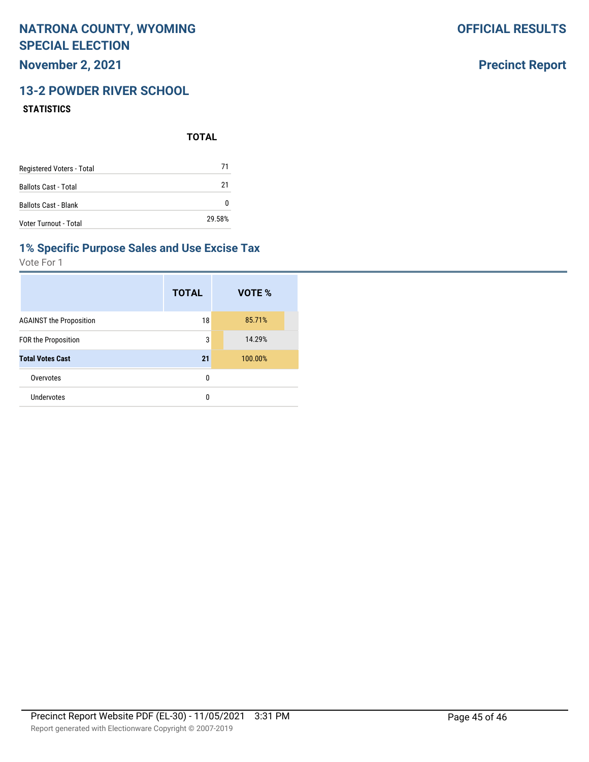**November 2, 2021**

## **13-2 POWDER RIVER SCHOOL**

#### **STATISTICS**

**TOTAL**

| Registered Voters - Total   | 71     |
|-----------------------------|--------|
| <b>Ballots Cast - Total</b> | 21     |
| <b>Ballots Cast - Blank</b> | O      |
| Voter Turnout - Total       | 29.58% |

### **1% Specific Purpose Sales and Use Excise Tax**

Vote For 1

|                                | <b>TOTAL</b> | VOTE %  |
|--------------------------------|--------------|---------|
| <b>AGAINST the Proposition</b> | 18           | 85.71%  |
| <b>FOR the Proposition</b>     | 3            | 14.29%  |
| <b>Total Votes Cast</b>        | 21           | 100.00% |
| Overvotes                      | 0            |         |
| Undervotes                     | 0            |         |